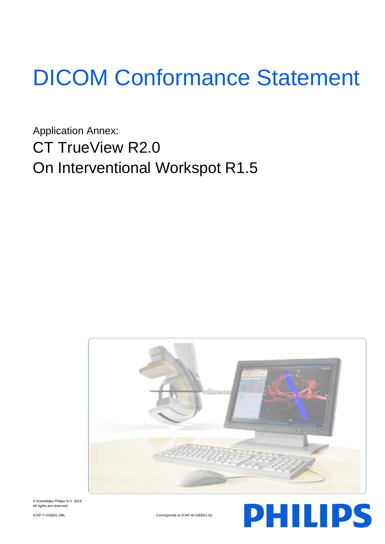# DICOM Conformance Statement

Application Annex: CT TrueView R2.0 On Interventional Workspot R1.5



© Koninklijke Philips N.V. 2018 All rights are reserved

ICAP-T-030001.09b Corresponds to ICAP-W-030001.02

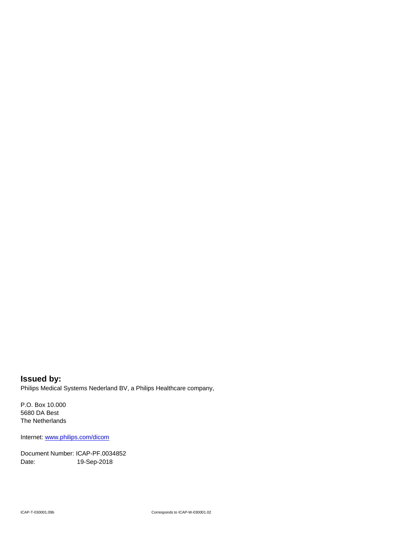**Issued by:** Philips Medical Systems Nederland BV, a Philips Healthcare company,

P.O. Box 10.000 5680 DA Best The Netherlands

Internet: www.philips.com/dicom

Document Number: ICAP-PF.0034852 Date: 19-Sep-2018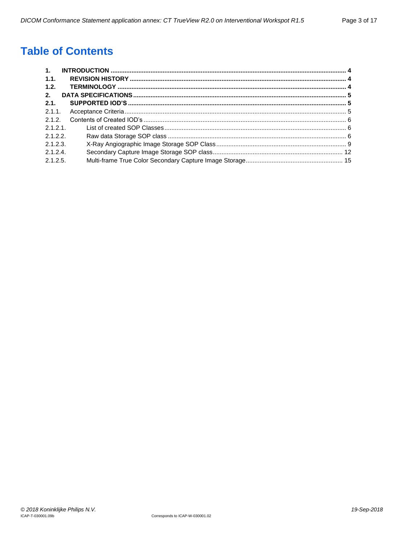## **Table of Contents**

| 1.       |  |
|----------|--|
| 1.1.     |  |
| 1.2.     |  |
| 2.       |  |
| 2.1.     |  |
| 2.1.1    |  |
| 2.1.2.   |  |
| 2.1.2.1  |  |
| 2.1.2.2. |  |
| 2.1.2.3  |  |
| 2.1.2.4  |  |
| 2.1.2.5. |  |
|          |  |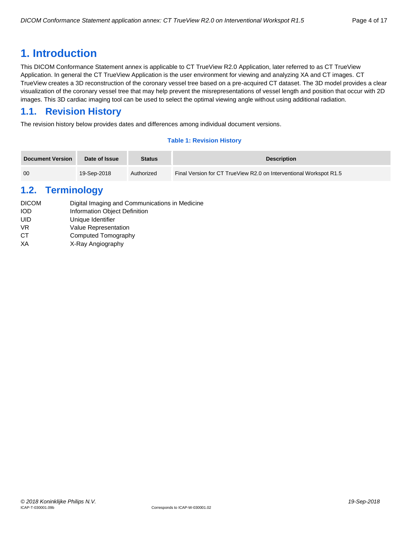## <span id="page-3-0"></span>**1. Introduction**

This DICOM Conformance Statement annex is applicable to CT TrueView R2.0 Application, later referred to as CT TrueView Application. In general the CT TrueView Application is the user environment for viewing and analyzing XA and CT images. CT TrueView creates a 3D reconstruction of the coronary vessel tree based on a pre-acquired CT dataset. The 3D model provides a clear visualization of the coronary vessel tree that may help prevent the misrepresentations of vessel length and position that occur with 2D images. This 3D cardiac imaging tool can be used to select the optimal viewing angle without using additional radiation.

## <span id="page-3-1"></span>**1.1. Revision History**

The revision history below provides dates and differences among individual document versions.

#### **Table 1: Revision History**

| Document Version | Date of Issue | <b>Status</b> | <b>Description</b>                                                 |
|------------------|---------------|---------------|--------------------------------------------------------------------|
| 00               | 19-Sep-2018   | Authorized    | Final Version for CT TrueView R2.0 on Interventional Workspot R1.5 |

## <span id="page-3-2"></span>**1.2. Terminology**

| <b>DICOM</b> | Digital Imaging and Communications in Medicine |
|--------------|------------------------------------------------|
| <b>IOD</b>   | Information Object Definition                  |
| UID          | Unique Identifier                              |
| VR.          | <b>Value Representation</b>                    |
| СT           | Computed Tomography                            |
| XА           | X-Ray Angiography                              |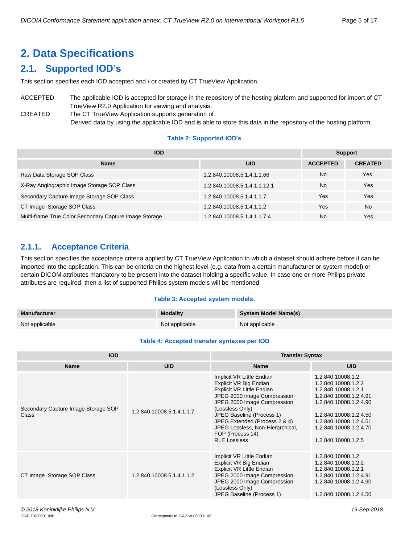# <span id="page-4-0"></span>**2. Data Specifications**

## <span id="page-4-1"></span>**2.1. Supported IOD's**

This section specifies each IOD accepted and / or created by CT TrueView Application.

#### ACCEPTED The applicable IOD is accepted for storage in the repository of the hosting platform and supported for import of CT TrueView R2.0 Application for viewing and analysis. CREATED The CT TrueView Application supports generation of

Derived data by using the applicable IOD and is able to store this data in the repository of the hosting platform.

#### **Table 2: Supported IOD's**

| <b>IOD</b>                                             |                              |                 | <b>Support</b> |  |
|--------------------------------------------------------|------------------------------|-----------------|----------------|--|
| <b>Name</b>                                            | <b>UID</b>                   | <b>ACCEPTED</b> | <b>CREATED</b> |  |
| Raw Data Storage SOP Class                             | 1.2.840.10008.5.1.4.1.1.66   | <b>No</b>       | Yes            |  |
| X-Ray Angiographic Image Storage SOP Class             | 1.2.840.10008.5.1.4.1.1.12.1 | N <sub>o</sub>  | Yes            |  |
| Secondary Capture Image Storage SOP Class              | 1.2.840.10008.5.1.4.1.1.7    | Yes             | Yes            |  |
| CT Image Storage SOP Class                             | 1.2.840.10008.5.1.4.1.1.2    | Yes             | <b>No</b>      |  |
| Multi-frame True Color Secondary Capture Image Storage | 1.2.840.10008.5.1.4.1.1.7.4  | No              | Yes            |  |

## <span id="page-4-2"></span>**2.1.1. Acceptance Criteria**

This section specifies the acceptance criteria applied by CT TrueView Application to which a dataset should adhere before it can be imported into the application. This can be criteria on the highest level (e.g. data from a certain manufacturer or system model) or certain DICOM attributes mandatory to be present into the dataset holding a specific value. In case one or more Philips private attributes are required, then a list of supported Philips system models will be mentioned.

#### **Table 3: Accepted system models.**

| Manufacturer   | <b>Modality</b> | <b>System Model Name(s)</b> |
|----------------|-----------------|-----------------------------|
| Not applicable | Not applicable  | Not applicable              |

#### **Table 4: Accepted transfer syntaxes per IOD**

| <b>IOD</b>                                   |                           | <b>Transfer Syntax</b>                                                                                                                                                                                                                                                                                         |                                                                                                                                                                                                                          |
|----------------------------------------------|---------------------------|----------------------------------------------------------------------------------------------------------------------------------------------------------------------------------------------------------------------------------------------------------------------------------------------------------------|--------------------------------------------------------------------------------------------------------------------------------------------------------------------------------------------------------------------------|
| <b>Name</b>                                  | <b>UID</b>                | <b>Name</b>                                                                                                                                                                                                                                                                                                    | <b>UID</b>                                                                                                                                                                                                               |
| Secondary Capture Image Storage SOP<br>Class | 1.2.840.10008.5.1.4.1.1.7 | Implicit VR Little Endian<br>Explicit VR Big Endian<br>Explicit VR Little Endian<br>JPEG 2000 Image Compression<br>JPEG 2000 Image Compression<br>(Lossless Only)<br>JPEG Baseline (Process 1)<br>JPEG Extended (Process 2 & 4)<br>JPEG Lossless, Non-Hierarchical,<br>FOP (Process 14)<br><b>RLE Lossless</b> | 1.2.840.10008.1.2<br>1.2.840.10008.1.2.2<br>1.2.840.10008.1.2.1<br>1.2.840.10008.1.2.4.91<br>1.2.840.10008.1.2.4.90<br>1.2.840.10008.1.2.4.50<br>1.2.840.10008.1.2.4.51<br>1.2.840.10008.1.2.4.70<br>1.2.840.10008.1.2.5 |
| CT Image Storage SOP Class                   | 1.2.840.10008.5.1.4.1.1.2 | Implicit VR Little Endian<br>Explicit VR Big Endian<br>Explicit VR Little Endian<br>JPEG 2000 Image Compression<br>JPEG 2000 Image Compression<br>(Lossless Only)<br>JPEG Baseline (Process 1)                                                                                                                 | 1.2.840.10008.1.2<br>1.2.840.10008.1.2.2<br>1.2.840.10008.1.2.1<br>1.2.840.10008.1.2.4.91<br>1.2.840.10008.1.2.4.90<br>1.2.840.10008.1.2.4.50                                                                            |
| © 2018 Koninklijke Philips N.V.              |                           |                                                                                                                                                                                                                                                                                                                | 19-Sep-2018                                                                                                                                                                                                              |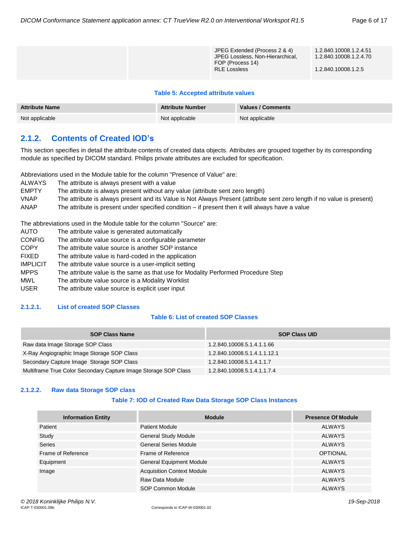| JPEG Extended (Process 2 & 4)<br>JPEG Lossless, Non-Hierarchical,<br>FOP (Process 14)<br><b>RLE Lossless</b> | 1.2.840.10008.1.2.4.51<br>1.2.840.10008.1.2.4.70<br>1.2.840.10008.1.2.5 |
|--------------------------------------------------------------------------------------------------------------|-------------------------------------------------------------------------|
|                                                                                                              |                                                                         |

#### **Table 5: Accepted attribute values**

| <b>Attribute Name</b> | <b>Attribute Number</b> | Values / Comments |
|-----------------------|-------------------------|-------------------|
| Not applicable        | Not applicable          | Not applicable    |

## <span id="page-5-0"></span>**2.1.2. Contents of Created IOD's**

This section specifies in detail the attribute contents of created data objects. Attributes are grouped together by its corresponding module as specified by DICOM standard. Philips private attributes are excluded for specification.

Abbreviations used in the Module table for the column "Presence of Value" are:

| ALWAYS       | The attribute is always present with a value                                                                            |
|--------------|-------------------------------------------------------------------------------------------------------------------------|
| <b>EMPTY</b> | The attribute is always present without any value (attribute sent zero length)                                          |
| <b>VNAP</b>  | The attribute is always present and its Value is Not Always Present (attribute sent zero length if no value is present) |
| <b>ANAP</b>  | The attribute is present under specified condition $-$ if present then it will always have a value                      |

The abbreviations used in the Module table for the column "Source" are:

| AUTO            | The attribute value is generated automatically                                    |
|-----------------|-----------------------------------------------------------------------------------|
| <b>CONFIG</b>   | The attribute value source is a configurable parameter                            |
| <b>COPY</b>     | The attribute value source is another SOP instance                                |
| <b>FIXED</b>    | The attribute value is hard-coded in the application                              |
| <b>IMPLICIT</b> | The attribute value source is a user-implicit setting                             |
| <b>MPPS</b>     | The attribute value is the same as that use for Modality Performed Procedure Step |

- MWL The attribute value source is a Modality Worklist
- USER The attribute value source is explicit user input

#### <span id="page-5-1"></span>**2.1.2.1. List of created SOP Classes**

#### **Table 6: List of created SOP Classes**

| <b>SOP Class Name</b>                                           | <b>SOP Class UID</b>         |
|-----------------------------------------------------------------|------------------------------|
| Raw data Image Storage SOP Class                                | 1.2.840.10008.5.1.4.1.1.66   |
| X-Ray Angiographic Image Storage SOP Class                      | 1.2.840.10008.5.1.4.1.1.12.1 |
| Secondary Capture Image Storage SOP Class                       | 1.2.840.10008.5.1.4.1.1.7    |
| Multiframe True Color Secondary Capture Image Storage SOP Class | 1.2.840.10008.5.1.4.1.1.7.4  |

#### <span id="page-5-2"></span>**2.1.2.2. Raw data Storage SOP class**

#### **Table 7: IOD of Created Raw Data Storage SOP Class Instances**

| <b>Information Entity</b> | <b>Module</b>                     | <b>Presence Of Module</b> |
|---------------------------|-----------------------------------|---------------------------|
| Patient                   | <b>Patient Module</b>             | <b>ALWAYS</b>             |
| Study                     | <b>General Study Module</b>       | <b>ALWAYS</b>             |
| <b>Series</b>             | <b>General Series Module</b>      | <b>ALWAYS</b>             |
| Frame of Reference        | Frame of Reference                | <b>OPTIONAL</b>           |
| Equipment                 | <b>General Equipment Module</b>   | <b>ALWAYS</b>             |
| Image                     | <b>Acquisition Context Module</b> | <b>ALWAYS</b>             |
|                           | Raw Data Module                   | <b>ALWAYS</b>             |
|                           | SOP Common Module                 | <b>ALWAYS</b>             |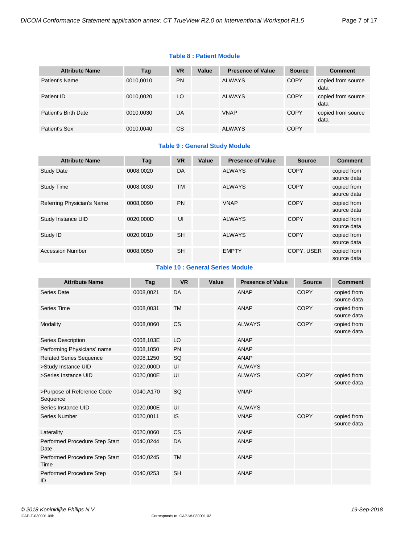#### **Table 8 : Patient Module**

| <b>Attribute Name</b> | Tag       | <b>VR</b> | Value | <b>Presence of Value</b> | <b>Source</b> | <b>Comment</b>             |
|-----------------------|-----------|-----------|-------|--------------------------|---------------|----------------------------|
| Patient's Name        | 0010,0010 | <b>PN</b> |       | <b>ALWAYS</b>            | <b>COPY</b>   | copied from source<br>data |
| Patient ID            | 0010,0020 | LO        |       | <b>ALWAYS</b>            | <b>COPY</b>   | copied from source<br>data |
| Patient's Birth Date  | 0010,0030 | DA        |       | <b>VNAP</b>              | <b>COPY</b>   | copied from source<br>data |
| Patient's Sex         | 0010,0040 | <b>CS</b> |       | <b>ALWAYS</b>            | <b>COPY</b>   |                            |

#### **Table 9 : General Study Module**

| <b>Attribute Name</b>      | Tag       | <b>VR</b> | Value | <b>Presence of Value</b> | <b>Source</b> | <b>Comment</b>             |
|----------------------------|-----------|-----------|-------|--------------------------|---------------|----------------------------|
| <b>Study Date</b>          | 0008.0020 | DA        |       | <b>ALWAYS</b>            | <b>COPY</b>   | copied from<br>source data |
| <b>Study Time</b>          | 0008,0030 | <b>TM</b> |       | <b>ALWAYS</b>            | <b>COPY</b>   | copied from<br>source data |
| Referring Physician's Name | 0008.0090 | <b>PN</b> |       | <b>VNAP</b>              | COPY          | copied from<br>source data |
| Study Instance UID         | 0020.000D | UI        |       | <b>ALWAYS</b>            | <b>COPY</b>   | copied from<br>source data |
| Study ID                   | 0020,0010 | <b>SH</b> |       | <b>ALWAYS</b>            | <b>COPY</b>   | copied from<br>source data |
| <b>Accession Number</b>    | 0008.0050 | <b>SH</b> |       | <b>EMPTY</b>             | COPY, USER    | copied from<br>source data |

#### **Table 10 : General Series Module**

| <b>Attribute Name</b>                  | <b>Tag</b> | <b>VR</b> | Value | <b>Presence of Value</b> | <b>Source</b> | <b>Comment</b>             |
|----------------------------------------|------------|-----------|-------|--------------------------|---------------|----------------------------|
| <b>Series Date</b>                     | 0008,0021  | DA        |       | <b>ANAP</b>              | <b>COPY</b>   | copied from<br>source data |
| Series Time                            | 0008,0031  | <b>TM</b> |       | <b>ANAP</b>              | <b>COPY</b>   | copied from<br>source data |
| Modality                               | 0008,0060  | <b>CS</b> |       | <b>ALWAYS</b>            | <b>COPY</b>   | copied from<br>source data |
| <b>Series Description</b>              | 0008,103E  | LO        |       | <b>ANAP</b>              |               |                            |
| Performing Physicians' name            | 0008,1050  | PN        |       | <b>ANAP</b>              |               |                            |
| <b>Related Series Sequence</b>         | 0008,1250  | SQ        |       | <b>ANAP</b>              |               |                            |
| >Study Instance UID                    | 0020,000D  | UI        |       | <b>ALWAYS</b>            |               |                            |
| >Series Instance UID                   | 0020,000E  | UI        |       | <b>ALWAYS</b>            | <b>COPY</b>   | copied from<br>source data |
| >Purpose of Reference Code<br>Sequence | 0040,A170  | SQ        |       | <b>VNAP</b>              |               |                            |
| Series Instance UID                    | 0020,000E  | UI        |       | <b>ALWAYS</b>            |               |                            |
| <b>Series Number</b>                   | 0020,0011  | IS        |       | <b>VNAP</b>              | <b>COPY</b>   | copied from<br>source data |
| Laterality                             | 0020,0060  | <b>CS</b> |       | <b>ANAP</b>              |               |                            |
| Performed Procedure Step Start<br>Date | 0040,0244  | DA        |       | <b>ANAP</b>              |               |                            |
| Performed Procedure Step Start<br>Time | 0040,0245  | <b>TM</b> |       | <b>ANAP</b>              |               |                            |
| Performed Procedure Step<br>ID         | 0040,0253  | <b>SH</b> |       | <b>ANAP</b>              |               |                            |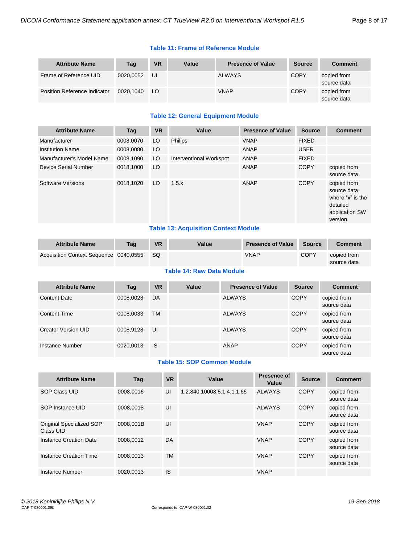#### **Table 11: Frame of Reference Module**

| <b>Attribute Name</b>               | Tag       | <b>VR</b> | Value | <b>Presence of Value</b> | <b>Source</b> | <b>Comment</b>             |
|-------------------------------------|-----------|-----------|-------|--------------------------|---------------|----------------------------|
| Frame of Reference UID              | 0020.0052 | UI        |       | <b>ALWAYS</b>            | <b>COPY</b>   | copied from<br>source data |
| <b>Position Reference Indicator</b> | 0020.1040 | LO.       |       | <b>VNAP</b>              | <b>COPY</b>   | copied from<br>source data |

#### **Table 12: General Equipment Module**

| <b>Attribute Name</b>     | Tag       | <b>VR</b> | Value                   | <b>Presence of Value</b> | <b>Source</b> | <b>Comment</b>                                                                           |
|---------------------------|-----------|-----------|-------------------------|--------------------------|---------------|------------------------------------------------------------------------------------------|
| Manufacturer              | 0008.0070 | LO        | <b>Philips</b>          | <b>VNAP</b>              | <b>FIXED</b>  |                                                                                          |
| <b>Institution Name</b>   | 0008.0080 | LO        |                         | <b>ANAP</b>              | <b>USER</b>   |                                                                                          |
| Manufacturer's Model Name | 0008,1090 | LO.       | Interventional Workspot | ANAP                     | <b>FIXED</b>  |                                                                                          |
| Device Serial Number      | 0018,1000 | LO        |                         | ANAP                     | <b>COPY</b>   | copied from<br>source data                                                               |
| Software Versions         | 0018,1020 | LO        | 1.5.x                   | <b>ANAP</b>              | <b>COPY</b>   | copied from<br>source data<br>where "x" is the<br>detailed<br>application SW<br>version. |

#### **Table 13: Acquisition Context Module**

| <b>Attribute Name</b>                  | Taq | <b>VR</b> | Value | <b>Presence of Value</b> | Source | <b>Comment</b>             |
|----------------------------------------|-----|-----------|-------|--------------------------|--------|----------------------------|
| Acquisition Context Sequence 0040,0555 |     | -SQ       |       | VNAP                     | COPY   | copied from<br>source data |

#### **Table 14: Raw Data Module**

| <b>Attribute Name</b> | Tag       | <b>VR</b> | Value | <b>Presence of Value</b> | <b>Source</b> | <b>Comment</b>             |
|-----------------------|-----------|-----------|-------|--------------------------|---------------|----------------------------|
| <b>Content Date</b>   | 0008,0023 | DA        |       | <b>ALWAYS</b>            | <b>COPY</b>   | copied from<br>source data |
| <b>Content Time</b>   | 0008,0033 | <b>TM</b> |       | <b>ALWAYS</b>            | <b>COPY</b>   | copied from<br>source data |
| Creator Version UID   | 0008.9123 | UI        |       | <b>ALWAYS</b>            | <b>COPY</b>   | copied from<br>source data |
| Instance Number       | 0020.0013 | IS        |       | ANAP                     | <b>COPY</b>   | copied from<br>source data |

#### **Table 15: SOP Common Module**

| <b>Attribute Name</b>                 | Taq       | <b>VR</b> | Value                      | <b>Presence of</b><br>Value | <b>Source</b> | <b>Comment</b>             |
|---------------------------------------|-----------|-----------|----------------------------|-----------------------------|---------------|----------------------------|
| SOP Class UID                         | 0008.0016 | UI        | 1.2.840.10008.5.1.4.1.1.66 | <b>ALWAYS</b>               | <b>COPY</b>   | copied from<br>source data |
| SOP Instance UID                      | 0008.0018 | UI        |                            | <b>ALWAYS</b>               | <b>COPY</b>   | copied from<br>source data |
| Original Specialized SOP<br>Class UID | 0008.001B | UI        |                            | <b>VNAP</b>                 | <b>COPY</b>   | copied from<br>source data |
| Instance Creation Date                | 0008.0012 | DA        |                            | <b>VNAP</b>                 | <b>COPY</b>   | copied from<br>source data |
| Instance Creation Time                | 0008.0013 | TM        |                            | <b>VNAP</b>                 | <b>COPY</b>   | copied from<br>source data |
| Instance Number                       | 0020.0013 | IS        |                            | <b>VNAP</b>                 |               |                            |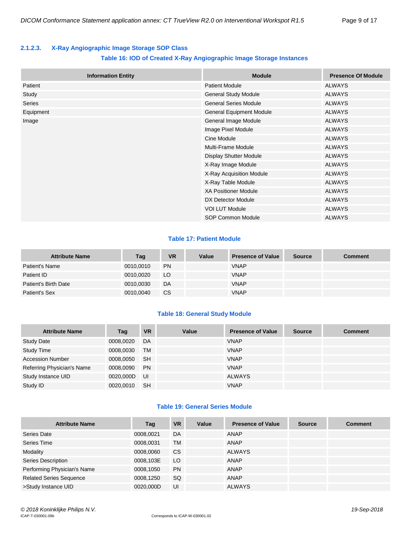#### <span id="page-8-0"></span>**2.1.2.3. X-Ray Angiographic Image Storage SOP Class**

#### **Table 16: IOD of Created X-Ray Angiographic Image Storage Instances**

| <b>Information Entity</b> | <b>Module</b>                   | <b>Presence Of Module</b> |
|---------------------------|---------------------------------|---------------------------|
| Patient                   | <b>Patient Module</b>           | <b>ALWAYS</b>             |
| Study                     | General Study Module            | <b>ALWAYS</b>             |
| <b>Series</b>             | <b>General Series Module</b>    | <b>ALWAYS</b>             |
| Equipment                 | <b>General Equipment Module</b> | <b>ALWAYS</b>             |
| Image                     | General Image Module            | <b>ALWAYS</b>             |
|                           | Image Pixel Module              | <b>ALWAYS</b>             |
|                           | Cine Module                     | <b>ALWAYS</b>             |
|                           | <b>Multi-Frame Module</b>       | <b>ALWAYS</b>             |
|                           | <b>Display Shutter Module</b>   | <b>ALWAYS</b>             |
|                           | X-Ray Image Module              | <b>ALWAYS</b>             |
|                           | X-Ray Acquisition Module        | <b>ALWAYS</b>             |
|                           | X-Ray Table Module              | <b>ALWAYS</b>             |
|                           | <b>XA Positioner Module</b>     | <b>ALWAYS</b>             |
|                           | DX Detector Module              | <b>ALWAYS</b>             |
|                           | <b>VOI LUT Module</b>           | <b>ALWAYS</b>             |
|                           | SOP Common Module               | <b>ALWAYS</b>             |

#### **Table 17: Patient Module**

| <b>Attribute Name</b> | Tag       | <b>VR</b> | Value | <b>Presence of Value</b> | <b>Source</b> | <b>Comment</b> |
|-----------------------|-----------|-----------|-------|--------------------------|---------------|----------------|
| Patient's Name        | 0010,0010 | <b>PN</b> |       | <b>VNAP</b>              |               |                |
| Patient ID            | 0010.0020 | LO.       |       | <b>VNAP</b>              |               |                |
| Patient's Birth Date  | 0010,0030 | DA        |       | <b>VNAP</b>              |               |                |
| Patient's Sex         | 0010,0040 | <b>CS</b> |       | <b>VNAP</b>              |               |                |

#### **Table 18: General Study Module**

| <b>Attribute Name</b>      | Tag       | <b>VR</b> | Value | <b>Presence of Value</b> | <b>Source</b> | <b>Comment</b> |
|----------------------------|-----------|-----------|-------|--------------------------|---------------|----------------|
| <b>Study Date</b>          | 0008,0020 | DA        |       | <b>VNAP</b>              |               |                |
| <b>Study Time</b>          | 0008,0030 | <b>TM</b> |       | <b>VNAP</b>              |               |                |
| <b>Accession Number</b>    | 0008,0050 | <b>SH</b> |       | <b>VNAP</b>              |               |                |
| Referring Physician's Name | 0008,0090 | <b>PN</b> |       | <b>VNAP</b>              |               |                |
| Study Instance UID         | 0020,000D | UI        |       | <b>ALWAYS</b>            |               |                |
| Study ID                   | 0020,0010 | <b>SH</b> |       | <b>VNAP</b>              |               |                |

#### **Table 19: General Series Module**

| <b>Attribute Name</b>          | Tag       | <b>VR</b> | Value | <b>Presence of Value</b> | <b>Source</b> | <b>Comment</b> |
|--------------------------------|-----------|-----------|-------|--------------------------|---------------|----------------|
| Series Date                    | 0008,0021 | DA        |       | ANAP                     |               |                |
| Series Time                    | 0008.0031 | TM        |       | ANAP                     |               |                |
| Modality                       | 0008,0060 | CS.       |       | <b>ALWAYS</b>            |               |                |
| Series Description             | 0008,103E | LO        |       | ANAP                     |               |                |
| Performing Physician's Name    | 0008,1050 | <b>PN</b> |       | ANAP                     |               |                |
| <b>Related Series Sequence</b> | 0008,1250 | <b>SQ</b> |       | ANAP                     |               |                |
| >Study Instance UID            | 0020.000D | UI        |       | <b>ALWAYS</b>            |               |                |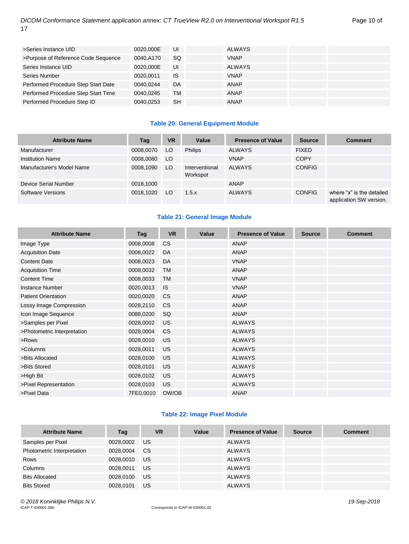| >Series Instance UID                | 0020.000E | UI        | <b>ALWAYS</b> |  |
|-------------------------------------|-----------|-----------|---------------|--|
| >Purpose of Reference Code Sequence | 0040.A170 | <b>SQ</b> | <b>VNAP</b>   |  |
| Series Instance UID                 | 0020.000E | UI        | ALWAYS        |  |
| Series Number                       | 0020.0011 | <b>IS</b> | <b>VNAP</b>   |  |
| Performed Procedure Step Start Date | 0040.0244 | DA        | ANAP          |  |
| Performed Procedure Step Start Time | 0040.0245 | <b>TM</b> | ANAP          |  |
| Performed Procedure Step ID         | 0040.0253 | <b>SH</b> | ANAP          |  |

#### **Table 20: General Equipment Module**

| <b>Attribute Name</b>     | Tag       | <b>VR</b> | Value                      | <b>Presence of Value</b> | <b>Source</b> | <b>Comment</b>                                       |
|---------------------------|-----------|-----------|----------------------------|--------------------------|---------------|------------------------------------------------------|
| Manufacturer              | 0008,0070 | LO        | <b>Philips</b>             | <b>ALWAYS</b>            | <b>FIXED</b>  |                                                      |
| <b>Institution Name</b>   | 0008,0080 | LO        |                            | <b>VNAP</b>              | <b>COPY</b>   |                                                      |
| Manufacturer's Model Name | 0008,1090 | LO.       | Interventional<br>Workspot | <b>ALWAYS</b>            | <b>CONFIG</b> |                                                      |
| Device Serial Number      | 0018.1000 |           |                            | <b>ANAP</b>              |               |                                                      |
| Software Versions         | 0018.1020 | LO        | 1.5.x                      | <b>ALWAYS</b>            | <b>CONFIG</b> | where "x" is the detailed<br>application SW version. |

#### **Table 21: General Image Module**

| <b>Attribute Name</b>       | Tag       | <b>VR</b>      | Value | <b>Presence of Value</b> | <b>Source</b> | <b>Comment</b> |
|-----------------------------|-----------|----------------|-------|--------------------------|---------------|----------------|
| Image Type                  | 0008,0008 | CS             |       | <b>ANAP</b>              |               |                |
| <b>Acquisition Date</b>     | 0008,0022 | DA             |       | <b>ANAP</b>              |               |                |
| <b>Content Date</b>         | 0008,0023 | DA             |       | <b>VNAP</b>              |               |                |
| <b>Acquisition Time</b>     | 0008,0032 | TM             |       | <b>ANAP</b>              |               |                |
| <b>Content Time</b>         | 0008,0033 | <b>TM</b>      |       | <b>VNAP</b>              |               |                |
| <b>Instance Number</b>      | 0020,0013 | <b>IS</b>      |       | <b>VNAP</b>              |               |                |
| <b>Patient Orientation</b>  | 0020,0020 | <b>CS</b>      |       | <b>ANAP</b>              |               |                |
| Lossy Image Compression     | 0028,2110 | CS             |       | <b>ANAP</b>              |               |                |
| Icon Image Sequence         | 0088,0200 | SQ             |       | <b>ANAP</b>              |               |                |
| >Samples per Pixel          | 0028,0002 | <b>US</b>      |       | <b>ALWAYS</b>            |               |                |
| >Photometric Interpretation | 0028,0004 | C <sub>S</sub> |       | <b>ALWAYS</b>            |               |                |
| >Rows                       | 0028,0010 | <b>US</b>      |       | <b>ALWAYS</b>            |               |                |
| >Columns                    | 0028,0011 | <b>US</b>      |       | <b>ALWAYS</b>            |               |                |
| >Bits Allocated             | 0028,0100 | <b>US</b>      |       | <b>ALWAYS</b>            |               |                |
| >Bits Stored                | 0028,0101 | <b>US</b>      |       | <b>ALWAYS</b>            |               |                |
| >High Bit                   | 0028,0102 | <b>US</b>      |       | <b>ALWAYS</b>            |               |                |
| >Pixel Representation       | 0028,0103 | <b>US</b>      |       | <b>ALWAYS</b>            |               |                |
| >Pixel Data                 | 7FE0,0010 | OW/OB          |       | <b>ANAP</b>              |               |                |

#### **Table 22: Image Pixel Module**

| <b>Attribute Name</b>      | Tag       | <b>VR</b> | Value | <b>Presence of Value</b> | <b>Source</b> | <b>Comment</b> |
|----------------------------|-----------|-----------|-------|--------------------------|---------------|----------------|
| Samples per Pixel          | 0028,0002 | US.       |       | <b>ALWAYS</b>            |               |                |
| Photometric Interpretation | 0028,0004 | <b>CS</b> |       | <b>ALWAYS</b>            |               |                |
| Rows                       | 0028.0010 | US.       |       | ALWAYS                   |               |                |
| Columns                    | 0028.0011 | US        |       | <b>ALWAYS</b>            |               |                |
| <b>Bits Allocated</b>      | 0028,0100 | <b>US</b> |       | <b>ALWAYS</b>            |               |                |
| <b>Bits Stored</b>         | 0028.0101 | <b>US</b> |       | <b>ALWAYS</b>            |               |                |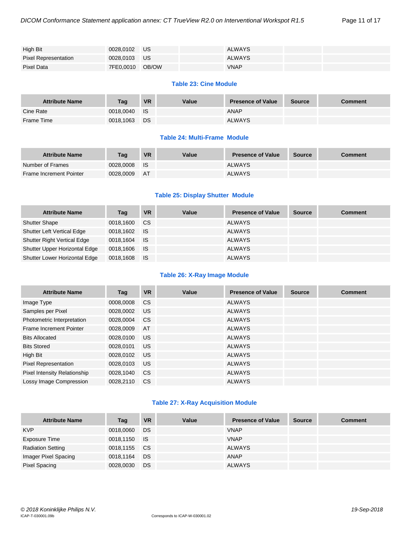| High Bit                    | 0028.0102 US    | <b>ALWAYS</b> |  |
|-----------------------------|-----------------|---------------|--|
| <b>Pixel Representation</b> | 0028.0103 US    | <b>ALWAYS</b> |  |
| Pixel Data                  | 7FE0,0010 OB/OW | <b>VNAP</b>   |  |

#### **Table 23: Cine Module**

| <b>Attribute Name</b> | <b>Tag</b> | <b>VR</b> | Value | <b>Presence of Value</b> | <b>Source</b> | <b>Comment</b> |
|-----------------------|------------|-----------|-------|--------------------------|---------------|----------------|
| Cine Rate             | 0018.0040  | <b>IS</b> |       | <b>ANAP</b>              |               |                |
| Frame Time            | 0018,1063  | DS        |       | <b>ALWAYS</b>            |               |                |

#### **Table 24: Multi-Frame Module**

| <b>Attribute Name</b>   | Taq       | <b>VR</b> | Value | <b>Presence of Value</b> | <b>Source</b> | <b>Comment</b> |
|-------------------------|-----------|-----------|-------|--------------------------|---------------|----------------|
| Number of Frames        | 0028.0008 | - IS      |       | <b>ALWAYS</b>            |               |                |
| Frame Increment Pointer | 0028.0009 | <b>AT</b> |       | <b>ALWAYS</b>            |               |                |

#### **Table 25: Display Shutter Module**

| <b>Attribute Name</b>              | Tag          | VR        | Value | <b>Presence of Value</b> | <b>Source</b> | <b>Comment</b> |
|------------------------------------|--------------|-----------|-------|--------------------------|---------------|----------------|
| <b>Shutter Shape</b>               | 0018.1600    | CS.       |       | <b>ALWAYS</b>            |               |                |
| <b>Shutter Left Vertical Edge</b>  | 0018.1602 IS |           |       | ALWAYS                   |               |                |
| <b>Shutter Right Vertical Edge</b> | 0018.1604    | <b>IS</b> |       | ALWAYS                   |               |                |
| Shutter Upper Horizontal Edge      | 0018.1606 IS |           |       | ALWAYS                   |               |                |
| Shutter Lower Horizontal Edge      | 0018.1608    | ⊟ IS      |       | <b>ALWAYS</b>            |               |                |

#### **Table 26: X-Ray Image Module**

| <b>Attribute Name</b>        | Tag       | <b>VR</b>     | Value | <b>Presence of Value</b> | <b>Source</b> | <b>Comment</b> |
|------------------------------|-----------|---------------|-------|--------------------------|---------------|----------------|
| Image Type                   | 0008,0008 | CS.           |       | <b>ALWAYS</b>            |               |                |
| Samples per Pixel            | 0028,0002 | US            |       | <b>ALWAYS</b>            |               |                |
| Photometric Interpretation   | 0028,0004 | <sub>CS</sub> |       | <b>ALWAYS</b>            |               |                |
| Frame Increment Pointer      | 0028,0009 | AT            |       | <b>ALWAYS</b>            |               |                |
| <b>Bits Allocated</b>        | 0028,0100 | <b>US</b>     |       | <b>ALWAYS</b>            |               |                |
| <b>Bits Stored</b>           | 0028,0101 | <b>US</b>     |       | <b>ALWAYS</b>            |               |                |
| High Bit                     | 0028,0102 | <b>US</b>     |       | <b>ALWAYS</b>            |               |                |
| Pixel Representation         | 0028,0103 | <b>US</b>     |       | <b>ALWAYS</b>            |               |                |
| Pixel Intensity Relationship | 0028,1040 | <sub>CS</sub> |       | <b>ALWAYS</b>            |               |                |
| Lossy Image Compression      | 0028.2110 | <sub>CS</sub> |       | <b>ALWAYS</b>            |               |                |

#### **Table 27: X-Ray Acquisition Module**

| <b>Attribute Name</b>    | Tag       | <b>VR</b> | Value | <b>Presence of Value</b> | <b>Source</b> | <b>Comment</b> |
|--------------------------|-----------|-----------|-------|--------------------------|---------------|----------------|
| <b>KVP</b>               | 0018,0060 | DS        |       | <b>VNAP</b>              |               |                |
| Exposure Time            | 0018,1150 | ⊟ IS.     |       | <b>VNAP</b>              |               |                |
| <b>Radiation Setting</b> | 0018,1155 | <b>CS</b> |       | ALWAYS                   |               |                |
| Imager Pixel Spacing     | 0018,1164 | DS        |       | ANAP                     |               |                |
| <b>Pixel Spacing</b>     | 0028,0030 | DS        |       | <b>ALWAYS</b>            |               |                |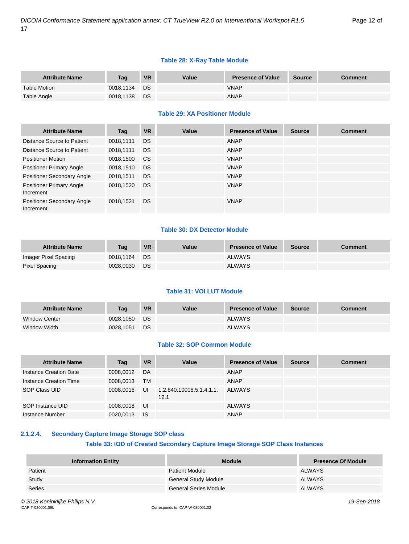#### **Table 28: X-Ray Table Module**

| <b>Attribute Name</b> | Taq       | <b>VR</b> | Value | <b>Presence of Value</b> | <b>Source</b> | <b>Comment</b> |
|-----------------------|-----------|-----------|-------|--------------------------|---------------|----------------|
| <b>Table Motion</b>   | 0018.1134 | <b>DS</b> |       | <b>VNAP</b>              |               |                |
| Table Angle           | 0018.1138 | DS.       |       | ANAP                     |               |                |

#### **Table 29: XA Positioner Module**

| <b>Attribute Name</b>                        | Tag       | <b>VR</b>     | Value | <b>Presence of Value</b> | <b>Source</b> | <b>Comment</b> |
|----------------------------------------------|-----------|---------------|-------|--------------------------|---------------|----------------|
| Distance Source to Patient                   | 0018,1111 | <b>DS</b>     |       | ANAP                     |               |                |
| Distance Source to Patient                   | 0018,1111 | <b>DS</b>     |       | ANAP                     |               |                |
| <b>Positioner Motion</b>                     | 0018,1500 | <sub>CS</sub> |       | <b>VNAP</b>              |               |                |
| <b>Positioner Primary Angle</b>              | 0018,1510 | <b>DS</b>     |       | <b>VNAP</b>              |               |                |
| <b>Positioner Secondary Angle</b>            | 0018,1511 | <b>DS</b>     |       | <b>VNAP</b>              |               |                |
| <b>Positioner Primary Angle</b><br>Increment | 0018,1520 | <b>DS</b>     |       | <b>VNAP</b>              |               |                |
| Positioner Secondary Angle<br>Increment      | 0018,1521 | <b>DS</b>     |       | <b>VNAP</b>              |               |                |

#### **Table 30: DX Detector Module**

| <b>Attribute Name</b> | Taq       | <b>VR</b> | Value | <b>Presence of Value</b> | Source | Comment |
|-----------------------|-----------|-----------|-------|--------------------------|--------|---------|
| Imager Pixel Spacing  | 0018.1164 | - DS      |       | <b>ALWAYS</b>            |        |         |
| Pixel Spacing         | 0028.0030 | DS        |       | <b>ALWAYS</b>            |        |         |

#### **Table 31: VOI LUT Module**

| <b>Attribute Name</b> | Taq       | <b>VR</b> | Value | <b>Presence of Value</b> | <b>Source</b> | Comment |
|-----------------------|-----------|-----------|-------|--------------------------|---------------|---------|
| <b>Window Center</b>  | 0028.1050 | DS.       |       | <b>ALWAYS</b>            |               |         |
| Window Width          | 0028.1051 | DS        |       | <b>ALWAYS</b>            |               |         |

#### **Table 32: SOP Common Module**

| <b>Attribute Name</b>  | Tag       | <b>VR</b> | Value                            | <b>Presence of Value</b> | <b>Source</b> | <b>Comment</b> |
|------------------------|-----------|-----------|----------------------------------|--------------------------|---------------|----------------|
| Instance Creation Date | 0008.0012 | DA        |                                  | ANAP                     |               |                |
| Instance Creation Time | 0008,0013 | <b>TM</b> |                                  | ANAP                     |               |                |
| SOP Class UID          | 0008,0016 | UI        | 1.2.840.10008.5.1.4.1.1.<br>12.1 | ALWAYS                   |               |                |
| SOP Instance UID       | 0008.0018 | UI        |                                  | <b>ALWAYS</b>            |               |                |
| Instance Number        | 0020,0013 | <b>IS</b> |                                  | ANAP                     |               |                |

#### <span id="page-11-0"></span>**2.1.2.4. Secondary Capture Image Storage SOP class**

#### **Table 33: IOD of Created Secondary Capture Image Storage SOP Class Instances**

| <b>Information Entity</b> | <b>Module</b>               | <b>Presence Of Module</b> |
|---------------------------|-----------------------------|---------------------------|
| Patient                   | <b>Patient Module</b>       | ALWAYS                    |
| Study                     | <b>General Study Module</b> | <b>ALWAYS</b>             |
| Series                    | General Series Module       | <b>ALWAYS</b>             |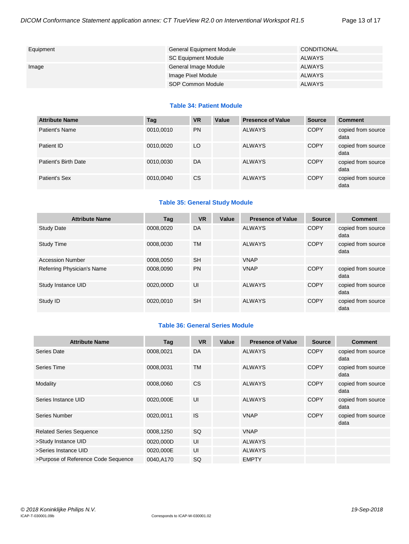| Equipment | <b>General Equipment Module</b> | CONDITIONAL   |
|-----------|---------------------------------|---------------|
|           | <b>SC Equipment Module</b>      | ALWAYS        |
| Image     | General Image Module            | <b>ALWAYS</b> |
|           | Image Pixel Module              | <b>ALWAYS</b> |
|           | SOP Common Module               | <b>ALWAYS</b> |

#### **Table 34: Patient Module**

| <b>Attribute Name</b> | Tag       | <b>VR</b> | Value | <b>Presence of Value</b> | <b>Source</b> | <b>Comment</b>             |
|-----------------------|-----------|-----------|-------|--------------------------|---------------|----------------------------|
| Patient's Name        | 0010,0010 | <b>PN</b> |       | <b>ALWAYS</b>            | <b>COPY</b>   | copied from source<br>data |
| Patient ID            | 0010,0020 | LO        |       | <b>ALWAYS</b>            | <b>COPY</b>   | copied from source<br>data |
| Patient's Birth Date  | 0010,0030 | DA        |       | <b>ALWAYS</b>            | <b>COPY</b>   | copied from source<br>data |
| Patient's Sex         | 0010,0040 | <b>CS</b> |       | <b>ALWAYS</b>            | <b>COPY</b>   | copied from source<br>data |

#### **Table 35: General Study Module**

| <b>Attribute Name</b>      | Tag       | <b>VR</b> | Value | <b>Presence of Value</b> | <b>Source</b> | <b>Comment</b>             |
|----------------------------|-----------|-----------|-------|--------------------------|---------------|----------------------------|
| <b>Study Date</b>          | 0008,0020 | DA        |       | <b>ALWAYS</b>            | <b>COPY</b>   | copied from source<br>data |
| <b>Study Time</b>          | 0008.0030 | TM        |       | <b>ALWAYS</b>            | <b>COPY</b>   | copied from source<br>data |
| <b>Accession Number</b>    | 0008.0050 | <b>SH</b> |       | <b>VNAP</b>              |               |                            |
| Referring Physician's Name | 0008.0090 | <b>PN</b> |       | <b>VNAP</b>              | <b>COPY</b>   | copied from source<br>data |
| Study Instance UID         | 0020.000D | UI        |       | <b>ALWAYS</b>            | <b>COPY</b>   | copied from source<br>data |
| Study ID                   | 0020.0010 | <b>SH</b> |       | <b>ALWAYS</b>            | <b>COPY</b>   | copied from source<br>data |

#### **Table 36: General Series Module**

| <b>Attribute Name</b>               | Tag       | <b>VR</b> | Value | <b>Presence of Value</b> | <b>Source</b> | <b>Comment</b>             |
|-------------------------------------|-----------|-----------|-------|--------------------------|---------------|----------------------------|
| Series Date                         | 0008,0021 | DA        |       | <b>ALWAYS</b>            | <b>COPY</b>   | copied from source<br>data |
| Series Time                         | 0008,0031 | <b>TM</b> |       | <b>ALWAYS</b>            | <b>COPY</b>   | copied from source<br>data |
| Modality                            | 0008,0060 | <b>CS</b> |       | <b>ALWAYS</b>            | <b>COPY</b>   | copied from source<br>data |
| Series Instance UID                 | 0020,000E | UI        |       | <b>ALWAYS</b>            | <b>COPY</b>   | copied from source<br>data |
| Series Number                       | 0020,0011 | <b>IS</b> |       | <b>VNAP</b>              | <b>COPY</b>   | copied from source<br>data |
| <b>Related Series Sequence</b>      | 0008,1250 | <b>SQ</b> |       | <b>VNAP</b>              |               |                            |
| >Study Instance UID                 | 0020,000D | UI        |       | <b>ALWAYS</b>            |               |                            |
| >Series Instance UID                | 0020,000E | UI        |       | <b>ALWAYS</b>            |               |                            |
| >Purpose of Reference Code Sequence | 0040,A170 | SQ        |       | <b>EMPTY</b>             |               |                            |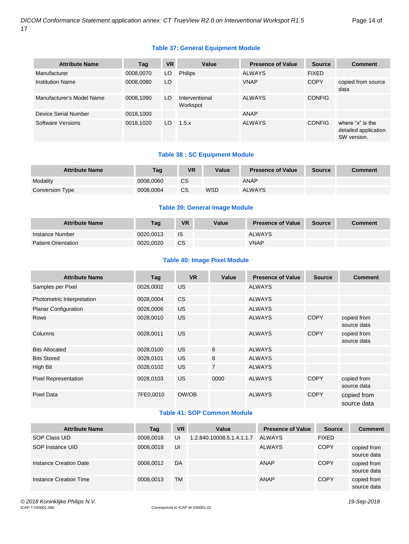#### **Table 37: General Equipment Module**

| <b>Attribute Name</b>     | Tag       | <b>VR</b> | Value                      | <b>Presence of Value</b> | <b>Source</b> | <b>Comment</b>                                          |
|---------------------------|-----------|-----------|----------------------------|--------------------------|---------------|---------------------------------------------------------|
| Manufacturer              | 0008,0070 | LO        | <b>Philips</b>             | <b>ALWAYS</b>            | <b>FIXED</b>  |                                                         |
| <b>Institution Name</b>   | 0008,0080 | LO        |                            | <b>VNAP</b>              | <b>COPY</b>   | copied from source<br>data                              |
| Manufacturer's Model Name | 0008,1090 | LO.       | Interventional<br>Workspot | <b>ALWAYS</b>            | <b>CONFIG</b> |                                                         |
| Device Serial Number      | 0018,1000 |           |                            | ANAP                     |               |                                                         |
| Software Versions         | 0018,1020 | LO        | 1.5.x                      | <b>ALWAYS</b>            | <b>CONFIG</b> | where "x" is the<br>detailed application<br>SW version. |

#### **Table 38 : SC Equipment Module**

| <b>Attribute Name</b> | Tag       | VR.       | Value | <b>Presence of Value</b> | <b>Source</b> | <b>Comment</b> |
|-----------------------|-----------|-----------|-------|--------------------------|---------------|----------------|
| Modality              | 0008.0060 | <b>CS</b> |       | ANAP                     |               |                |
| Conversion Type       | 0008.0064 | <b>CS</b> | WSD   | <b>ALWAYS</b>            |               |                |

#### **Table 39: General Image Module**

| <b>Attribute Name</b>      | Tag       | <b>VR</b> | Value | <b>Presence of Value</b> | Source | <b>Comment</b> |
|----------------------------|-----------|-----------|-------|--------------------------|--------|----------------|
| Instance Number            | 0020.0013 | IS        |       | <b>ALWAYS</b>            |        |                |
| <b>Patient Orientation</b> | 0020.0020 | <b>CS</b> |       | <b>VNAP</b>              |        |                |

#### **Table 40: Image Pixel Module**

| <b>Attribute Name</b>       | Tag       | <b>VR</b>      | Value          | <b>Presence of Value</b> | <b>Source</b> | <b>Comment</b>             |
|-----------------------------|-----------|----------------|----------------|--------------------------|---------------|----------------------------|
| Samples per Pixel           | 0028,0002 | US             |                | <b>ALWAYS</b>            |               |                            |
| Photometric Interpretation  | 0028,0004 | C <sub>S</sub> |                | <b>ALWAYS</b>            |               |                            |
| <b>Planar Configuration</b> | 0028,0006 | US.            |                | <b>ALWAYS</b>            |               |                            |
| <b>Rows</b>                 | 0028,0010 | <b>US</b>      |                | <b>ALWAYS</b>            | <b>COPY</b>   | copied from<br>source data |
| Columns                     | 0028,0011 | <b>US</b>      |                | <b>ALWAYS</b>            | <b>COPY</b>   | copied from<br>source data |
| <b>Bits Allocated</b>       | 0028,0100 | <b>US</b>      | 8              | <b>ALWAYS</b>            |               |                            |
| <b>Bits Stored</b>          | 0028,0101 | <b>US</b>      | 8              | <b>ALWAYS</b>            |               |                            |
| High Bit                    | 0028,0102 | US.            | $\overline{7}$ | <b>ALWAYS</b>            |               |                            |
| <b>Pixel Representation</b> | 0028,0103 | <b>US</b>      | 0000           | <b>ALWAYS</b>            | <b>COPY</b>   | copied from<br>source data |
| <b>Pixel Data</b>           | 7FE0,0010 | OW/OB          |                | <b>ALWAYS</b>            | <b>COPY</b>   | copied from<br>source data |

#### **Table 41: SOP Common Module**

| <b>Attribute Name</b>  | Tag       | <b>VR</b> | Value                     | <b>Presence of Value</b> | <b>Source</b> | <b>Comment</b>             |
|------------------------|-----------|-----------|---------------------------|--------------------------|---------------|----------------------------|
| SOP Class UID          | 0008.0016 | UI        | 1.2.840.10008.5.1.4.1.1.7 | ALWAYS                   | <b>FIXED</b>  |                            |
| SOP Instance UID       | 0008.0018 | UI        |                           | <b>ALWAYS</b>            | <b>COPY</b>   | copied from<br>source data |
| Instance Creation Date | 0008.0012 | DA        |                           | ANAP                     | <b>COPY</b>   | copied from<br>source data |
| Instance Creation Time | 0008.0013 | <b>TM</b> |                           | ANAP                     | <b>COPY</b>   | copied from<br>source data |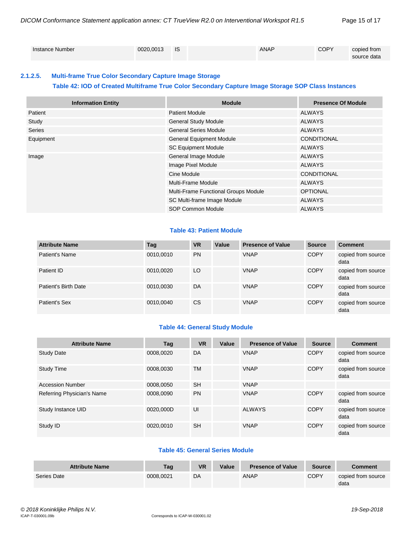| Instance Number | 0020.0013 | IS | <b>ANAP</b> | <b>COPY</b> | copied from<br>source data |
|-----------------|-----------|----|-------------|-------------|----------------------------|
|                 |           |    |             |             |                            |

#### <span id="page-14-0"></span>**2.1.2.5. Multi-frame True Color Secondary Capture Image Storage**

#### **Table 42: IOD of Created Multiframe True Color Secondary Capture Image Storage SOP Class Instances**

| <b>Information Entity</b> | <b>Module</b>                        | <b>Presence Of Module</b> |
|---------------------------|--------------------------------------|---------------------------|
| Patient                   | <b>Patient Module</b>                | ALWAYS                    |
| Study                     | <b>General Study Module</b>          | ALWAYS                    |
| Series                    | <b>General Series Module</b>         | <b>ALWAYS</b>             |
| Equipment                 | <b>General Equipment Module</b>      | <b>CONDITIONAL</b>        |
|                           | <b>SC Equipment Module</b>           | ALWAYS                    |
| Image                     | General Image Module                 | ALWAYS                    |
|                           | Image Pixel Module                   | <b>ALWAYS</b>             |
|                           | Cine Module                          | CONDITIONAL               |
|                           | Multi-Frame Module                   | ALWAYS                    |
|                           | Multi-Frame Functional Groups Module | <b>OPTIONAL</b>           |
|                           | SC Multi-frame Image Module          | ALWAYS                    |
|                           | SOP Common Module                    | <b>ALWAYS</b>             |

#### **Table 43: Patient Module**

| <b>Attribute Name</b> | Tag       | <b>VR</b>     | Value | <b>Presence of Value</b> | <b>Source</b> | <b>Comment</b>             |
|-----------------------|-----------|---------------|-------|--------------------------|---------------|----------------------------|
| Patient's Name        | 0010,0010 | <b>PN</b>     |       | <b>VNAP</b>              | <b>COPY</b>   | copied from source<br>data |
| Patient ID            | 0010,0020 | LO            |       | <b>VNAP</b>              | <b>COPY</b>   | copied from source<br>data |
| Patient's Birth Date  | 0010,0030 | DA            |       | <b>VNAP</b>              | <b>COPY</b>   | copied from source<br>data |
| Patient's Sex         | 0010,0040 | <sub>CS</sub> |       | <b>VNAP</b>              | <b>COPY</b>   | copied from source<br>data |

#### **Table 44: General Study Module**

| <b>Attribute Name</b>      | Tag       | <b>VR</b> | Value | <b>Presence of Value</b> | <b>Source</b> | <b>Comment</b>             |
|----------------------------|-----------|-----------|-------|--------------------------|---------------|----------------------------|
| <b>Study Date</b>          | 0008.0020 | DA        |       | <b>VNAP</b>              | <b>COPY</b>   | copied from source<br>data |
| <b>Study Time</b>          | 0008.0030 | <b>TM</b> |       | <b>VNAP</b>              | <b>COPY</b>   | copied from source<br>data |
| <b>Accession Number</b>    | 0008,0050 | <b>SH</b> |       | <b>VNAP</b>              |               |                            |
| Referring Physician's Name | 0008,0090 | <b>PN</b> |       | <b>VNAP</b>              | <b>COPY</b>   | copied from source<br>data |
| Study Instance UID         | 0020.000D | UI        |       | <b>ALWAYS</b>            | <b>COPY</b>   | copied from source<br>data |
| Study ID                   | 0020.0010 | <b>SH</b> |       | <b>VNAP</b>              | <b>COPY</b>   | copied from source<br>data |

#### **Table 45: General Series Module**

| <b>Attribute Name</b> | Tag       | <b>VR</b> | Value | <b>Presence of Value</b> | <b>Source</b> | <b>Comment</b>             |
|-----------------------|-----------|-----------|-------|--------------------------|---------------|----------------------------|
| Series Date           | 0008.0021 | DA        |       | ANAP                     | <b>COPY</b>   | copied from source<br>data |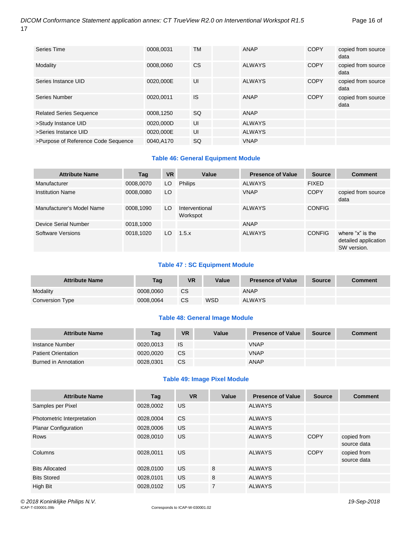| <b>Series Time</b>                  | 0008,0031 | TM        | <b>ANAP</b>   | <b>COPY</b> | copied from source<br>data |
|-------------------------------------|-----------|-----------|---------------|-------------|----------------------------|
| Modality                            | 0008,0060 | <b>CS</b> | <b>ALWAYS</b> | <b>COPY</b> | copied from source<br>data |
| Series Instance UID                 | 0020,000E | UI        | <b>ALWAYS</b> | <b>COPY</b> | copied from source<br>data |
| Series Number                       | 0020.0011 | <b>IS</b> | ANAP          | <b>COPY</b> | copied from source<br>data |
| <b>Related Series Sequence</b>      | 0008,1250 | SQ        | ANAP          |             |                            |
| >Study Instance UID                 | 0020,000D | UI        | <b>ALWAYS</b> |             |                            |
| >Series Instance UID                | 0020.000E | UI        | <b>ALWAYS</b> |             |                            |
| >Purpose of Reference Code Sequence | 0040.A170 | <b>SQ</b> | <b>VNAP</b>   |             |                            |

#### **Table 46: General Equipment Module**

| <b>Attribute Name</b>     | Tag       | <b>VR</b> | Value                      | <b>Presence of Value</b> | <b>Source</b> | <b>Comment</b>                                          |
|---------------------------|-----------|-----------|----------------------------|--------------------------|---------------|---------------------------------------------------------|
| Manufacturer              | 0008,0070 | LO.       | <b>Philips</b>             | <b>ALWAYS</b>            | <b>FIXED</b>  |                                                         |
| <b>Institution Name</b>   | 0008,0080 | LO        |                            | <b>VNAP</b>              | <b>COPY</b>   | copied from source<br>data                              |
| Manufacturer's Model Name | 0008,1090 | LO        | Interventional<br>Workspot | <b>ALWAYS</b>            | <b>CONFIG</b> |                                                         |
| Device Serial Number      | 0018,1000 |           |                            | ANAP                     |               |                                                         |
| Software Versions         | 0018,1020 | LO        | 1.5.x                      | <b>ALWAYS</b>            | <b>CONFIG</b> | where "x" is the<br>detailed application<br>SW version. |

#### **Table 47 : SC Equipment Module**

| <b>Attribute Name</b> | Tag       | VR | Value | <b>Presence of Value</b> | <b>Source</b> | <b>Comment</b> |
|-----------------------|-----------|----|-------|--------------------------|---------------|----------------|
| Modality              | 0008.0060 | CS |       | <b>ANAP</b>              |               |                |
| Conversion Type       | 0008.0064 | CS | WSD   | <b>ALWAYS</b>            |               |                |

#### **Table 48: General Image Module**

| <b>Attribute Name</b>      | Tag       | <b>VR</b> | Value | <b>Presence of Value</b> | Source | <b>Comment</b> |
|----------------------------|-----------|-----------|-------|--------------------------|--------|----------------|
| Instance Number            | 0020.0013 | IS        |       | <b>VNAP</b>              |        |                |
| <b>Patient Orientation</b> | 0020.0020 | CS        |       | <b>VNAP</b>              |        |                |
| Burned in Annotation       | 0028.0301 | СS        |       | ANAP                     |        |                |

#### **Table 49: Image Pixel Module**

| <b>Attribute Name</b>       | Tag       | <b>VR</b> | Value          | <b>Presence of Value</b> | <b>Source</b> | <b>Comment</b>             |
|-----------------------------|-----------|-----------|----------------|--------------------------|---------------|----------------------------|
| Samples per Pixel           | 0028,0002 | <b>US</b> |                | <b>ALWAYS</b>            |               |                            |
| Photometric Interpretation  | 0028,0004 | <b>CS</b> |                | <b>ALWAYS</b>            |               |                            |
| <b>Planar Configuration</b> | 0028,0006 | <b>US</b> |                | <b>ALWAYS</b>            |               |                            |
| <b>Rows</b>                 | 0028.0010 | US.       |                | <b>ALWAYS</b>            | <b>COPY</b>   | copied from<br>source data |
| Columns                     | 0028,0011 | <b>US</b> |                | <b>ALWAYS</b>            | <b>COPY</b>   | copied from<br>source data |
| <b>Bits Allocated</b>       | 0028,0100 | US.       | 8              | <b>ALWAYS</b>            |               |                            |
| <b>Bits Stored</b>          | 0028,0101 | <b>US</b> | 8              | <b>ALWAYS</b>            |               |                            |
| High Bit                    | 0028,0102 | <b>US</b> | $\overline{7}$ | <b>ALWAYS</b>            |               |                            |